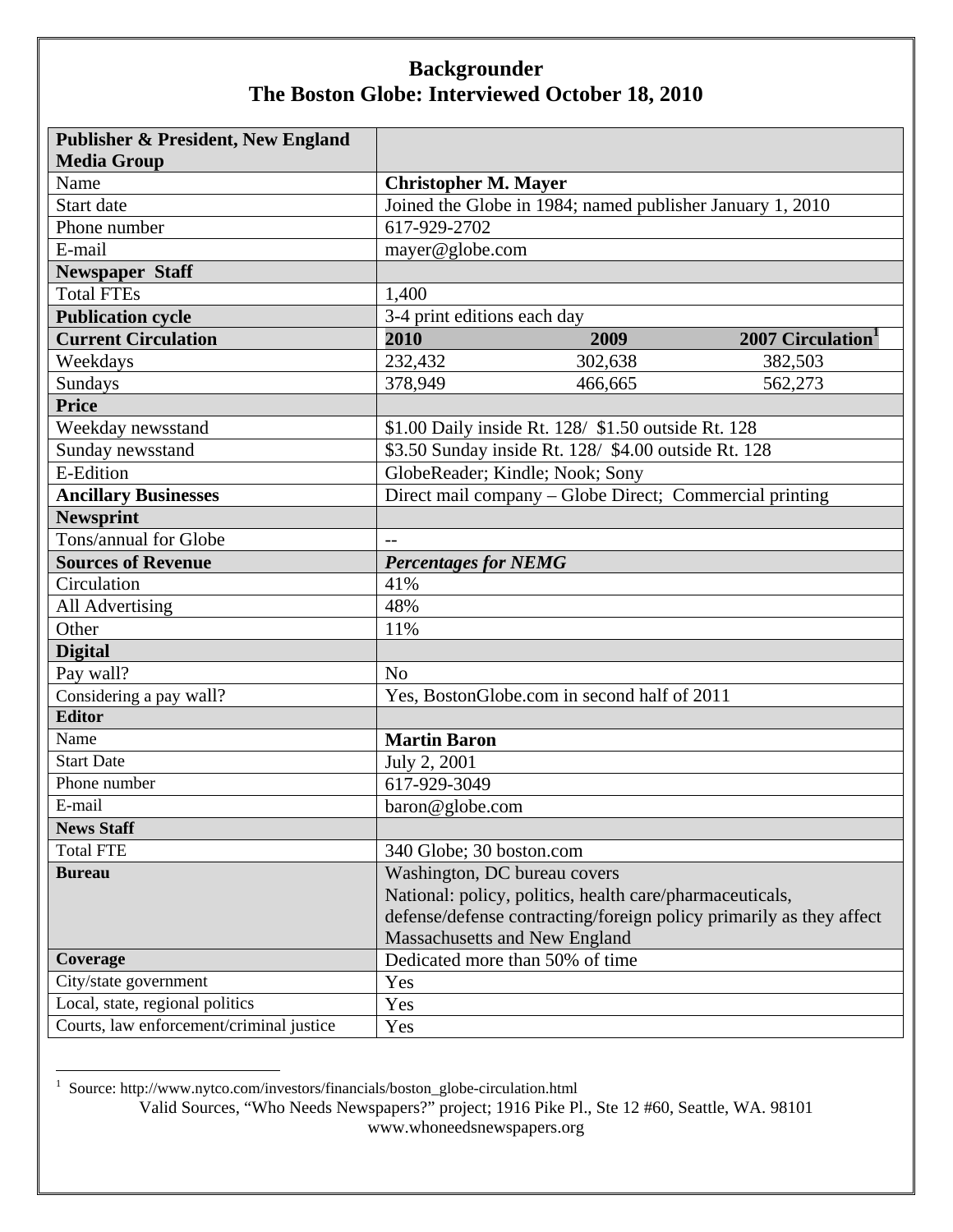| <b>Publisher &amp; President, New England</b> |                                                                     |
|-----------------------------------------------|---------------------------------------------------------------------|
| <b>Media Group</b>                            |                                                                     |
| Name                                          | <b>Christopher M. Mayer</b>                                         |
| Start date                                    | Joined the Globe in 1984; named publisher January 1, 2010           |
| Phone number                                  | 617-929-2702                                                        |
| E-mail                                        | mayer@globe.com                                                     |
| <b>Newspaper Staff</b>                        |                                                                     |
| <b>Total FTEs</b>                             | 1,400                                                               |
| <b>Publication cycle</b>                      | 3-4 print editions each day                                         |
| <b>Current Circulation</b>                    | 2010<br>2007 Circulation <sup>1</sup><br>2009                       |
| Weekdays                                      | 232,432<br>302,638<br>382,503                                       |
| Sundays                                       | 378,949<br>466,665<br>562,273                                       |
| <b>Price</b>                                  |                                                                     |
| Weekday newsstand                             | \$1.00 Daily inside Rt. 128/ \$1.50 outside Rt. 128                 |
| Sunday newsstand                              | \$3.50 Sunday inside Rt. 128/ \$4.00 outside Rt. 128                |
| E-Edition                                     | GlobeReader; Kindle; Nook; Sony                                     |
| <b>Ancillary Businesses</b>                   | Direct mail company - Globe Direct; Commercial printing             |
| <b>Newsprint</b>                              |                                                                     |
| Tons/annual for Globe                         | $-$                                                                 |
| <b>Sources of Revenue</b>                     | <b>Percentages for NEMG</b>                                         |
| Circulation                                   | 41%                                                                 |
| All Advertising                               | 48%                                                                 |
| Other                                         | 11%                                                                 |
| <b>Digital</b>                                |                                                                     |
| Pay wall?                                     | N <sub>o</sub>                                                      |
| Considering a pay wall?                       | Yes, BostonGlobe.com in second half of 2011                         |
| <b>Editor</b>                                 |                                                                     |
| Name                                          | <b>Martin Baron</b>                                                 |
| <b>Start Date</b>                             | July 2, 2001                                                        |
| Phone number                                  | 617-929-3049                                                        |
| E-mail                                        | baron@globe.com                                                     |
| <b>News Staff</b>                             |                                                                     |
| <b>Total FTE</b>                              | 340 Globe; 30 boston.com                                            |
| <b>Bureau</b>                                 | Washington, DC bureau covers                                        |
|                                               | National: policy, politics, health care/pharmaceuticals,            |
|                                               | defense/defense contracting/foreign policy primarily as they affect |
|                                               | Massachusetts and New England                                       |
| Coverage                                      | Dedicated more than 50% of time                                     |
| City/state government                         | Yes                                                                 |
| Local, state, regional politics               | Yes                                                                 |
| Courts, law enforcement/criminal justice      | Yes                                                                 |

1 Source: http://www.nytco.com/investors/financials/boston\_globe-circulation.html

Valid Sources, "Who Needs Newspapers?" project; 1916 Pike Pl., Ste 12 #60, Seattle, WA. 98101 www.whoneedsnewspapers.org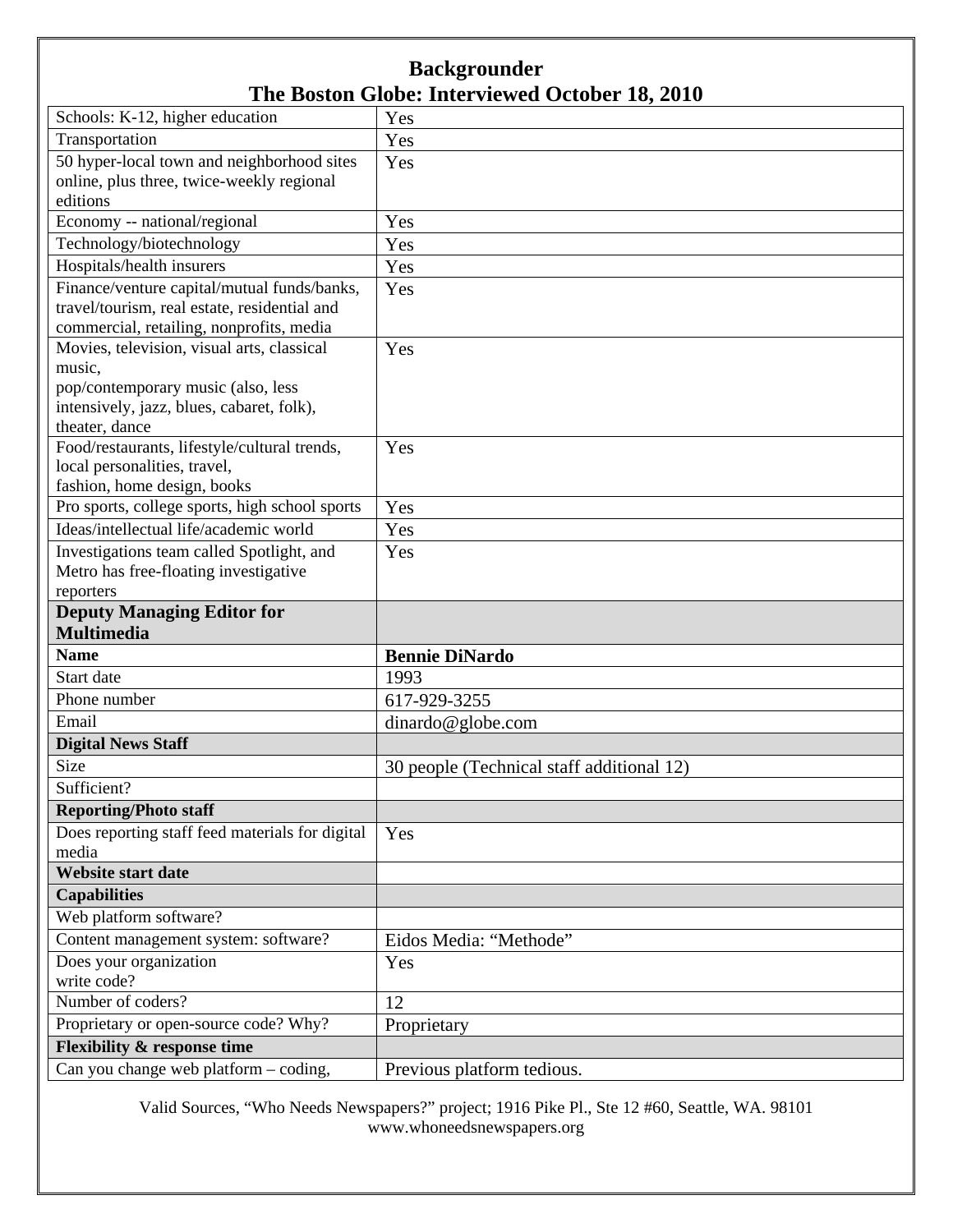| Schools: K-12, higher education                                                 | Yes                                       |
|---------------------------------------------------------------------------------|-------------------------------------------|
| Transportation                                                                  | Yes                                       |
| 50 hyper-local town and neighborhood sites                                      | Yes                                       |
| online, plus three, twice-weekly regional                                       |                                           |
| editions                                                                        |                                           |
| Economy -- national/regional                                                    | Yes                                       |
| Technology/biotechnology                                                        | Yes                                       |
| Hospitals/health insurers                                                       | Yes                                       |
| Finance/venture capital/mutual funds/banks,                                     | Yes                                       |
| travel/tourism, real estate, residential and                                    |                                           |
| commercial, retailing, nonprofits, media                                        |                                           |
| Movies, television, visual arts, classical                                      | Yes                                       |
| music,                                                                          |                                           |
| pop/contemporary music (also, less                                              |                                           |
| intensively, jazz, blues, cabaret, folk),<br>theater, dance                     |                                           |
| Food/restaurants, lifestyle/cultural trends,                                    | Yes                                       |
| local personalities, travel,                                                    |                                           |
| fashion, home design, books                                                     |                                           |
| Pro sports, college sports, high school sports                                  | Yes                                       |
| Ideas/intellectual life/academic world                                          | Yes                                       |
| Investigations team called Spotlight, and                                       | Yes                                       |
| Metro has free-floating investigative                                           |                                           |
| reporters                                                                       |                                           |
| <b>Deputy Managing Editor for</b>                                               |                                           |
|                                                                                 |                                           |
| <b>Multimedia</b>                                                               |                                           |
| <b>Name</b>                                                                     | <b>Bennie DiNardo</b>                     |
| Start date                                                                      | 1993                                      |
| Phone number                                                                    | 617-929-3255                              |
| Email                                                                           | dinardo@globe.com                         |
| <b>Digital News Staff</b>                                                       |                                           |
| Size                                                                            | 30 people (Technical staff additional 12) |
| Sufficient?                                                                     |                                           |
| <b>Reporting/Photo staff</b>                                                    |                                           |
| Does reporting staff feed materials for digital                                 | Yes                                       |
| media                                                                           |                                           |
| <b>Website start date</b>                                                       |                                           |
| <b>Capabilities</b>                                                             |                                           |
| Web platform software?                                                          |                                           |
| Content management system: software?                                            | Eidos Media: "Methode"                    |
| Does your organization                                                          | Yes                                       |
| write code?                                                                     |                                           |
| Number of coders?                                                               | 12                                        |
| Proprietary or open-source code? Why?                                           | Proprietary                               |
| <b>Flexibility &amp; response time</b><br>Can you change web platform - coding, | Previous platform tedious.                |

Valid Sources, "Who Needs Newspapers?" project; 1916 Pike Pl., Ste 12 #60, Seattle, WA. 98101 www.whoneedsnewspapers.org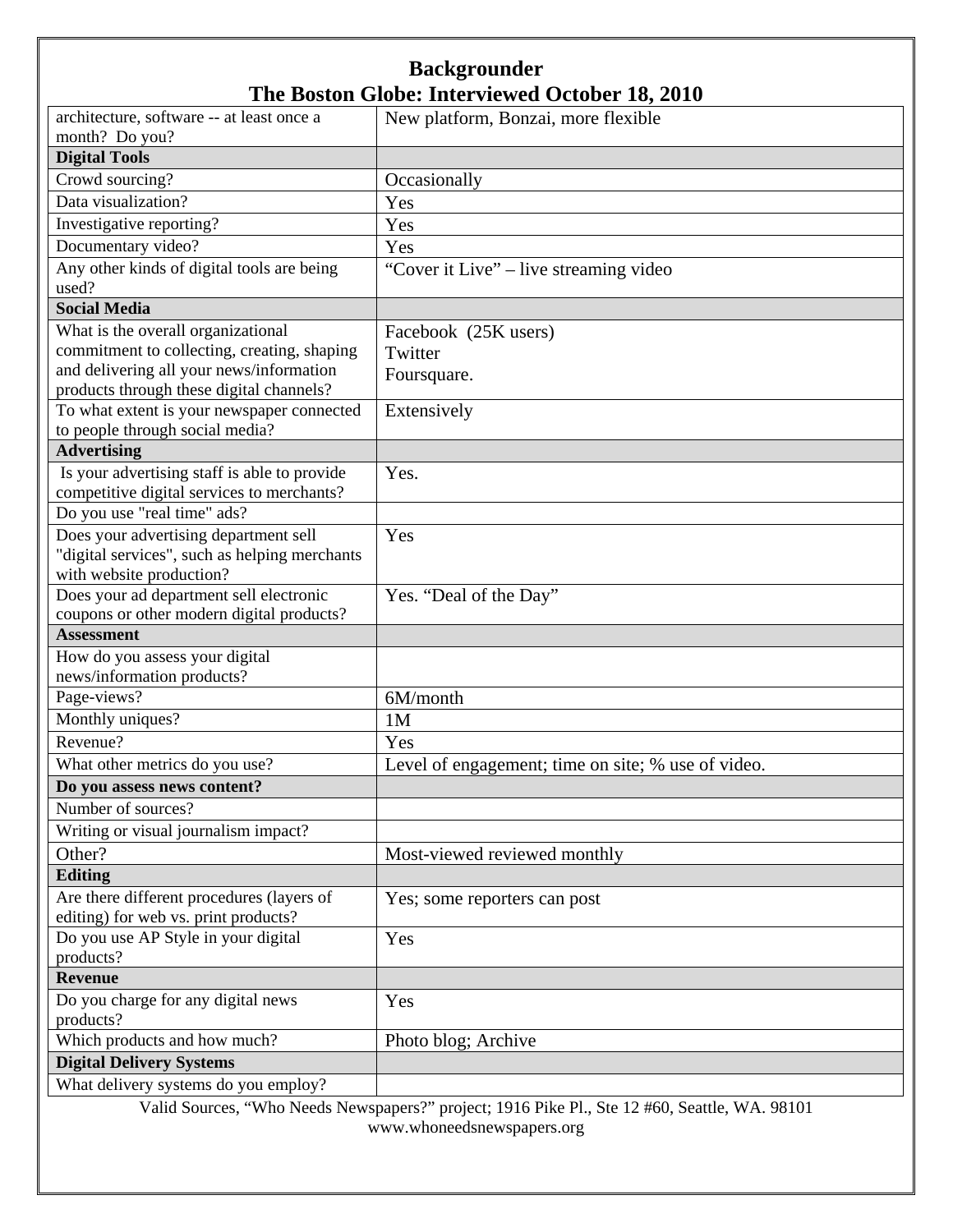| architecture, software -- at least once a                                         | New platform, Bonzai, more flexible                |
|-----------------------------------------------------------------------------------|----------------------------------------------------|
| month? Do you?                                                                    |                                                    |
| <b>Digital Tools</b>                                                              |                                                    |
| Crowd sourcing?                                                                   | Occasionally                                       |
| Data visualization?                                                               | Yes                                                |
| Investigative reporting?                                                          | Yes                                                |
| Documentary video?                                                                | Yes                                                |
| Any other kinds of digital tools are being                                        | "Cover it Live" – live streaming video             |
| used?<br><b>Social Media</b>                                                      |                                                    |
|                                                                                   |                                                    |
| What is the overall organizational<br>commitment to collecting, creating, shaping | Facebook (25K users)                               |
| and delivering all your news/information                                          | Twitter                                            |
| products through these digital channels?                                          | Foursquare.                                        |
| To what extent is your newspaper connected                                        | Extensively                                        |
| to people through social media?                                                   |                                                    |
| <b>Advertising</b>                                                                |                                                    |
| Is your advertising staff is able to provide                                      | Yes.                                               |
| competitive digital services to merchants?                                        |                                                    |
| Do you use "real time" ads?                                                       |                                                    |
| Does your advertising department sell                                             | Yes                                                |
| "digital services", such as helping merchants                                     |                                                    |
| with website production?                                                          |                                                    |
| Does your ad department sell electronic                                           | Yes. "Deal of the Day"                             |
| coupons or other modern digital products?                                         |                                                    |
| <b>Assessment</b>                                                                 |                                                    |
| How do you assess your digital<br>news/information products?                      |                                                    |
| Page-views?                                                                       | 6M/month                                           |
| Monthly uniques?                                                                  | 1M                                                 |
| Revenue?                                                                          | Yes                                                |
| What other metrics do you use?                                                    | Level of engagement; time on site; % use of video. |
| Do you assess news content?                                                       |                                                    |
| Number of sources?                                                                |                                                    |
| Writing or visual journalism impact?                                              |                                                    |
| Other?                                                                            | Most-viewed reviewed monthly                       |
| <b>Editing</b>                                                                    |                                                    |
| Are there different procedures (layers of                                         | Yes; some reporters can post                       |
| editing) for web vs. print products?                                              |                                                    |
| Do you use AP Style in your digital                                               | Yes                                                |
| products?                                                                         |                                                    |
| <b>Revenue</b>                                                                    |                                                    |
| Do you charge for any digital news                                                | Yes                                                |
| products?                                                                         |                                                    |
| Which products and how much?                                                      | Photo blog; Archive                                |
| <b>Digital Delivery Systems</b>                                                   |                                                    |
| What delivery systems do you employ?                                              |                                                    |

Valid Sources, "Who Needs Newspapers?" project; 1916 Pike Pl., Ste 12 #60, Seattle, WA. 98101 www.whoneedsnewspapers.org